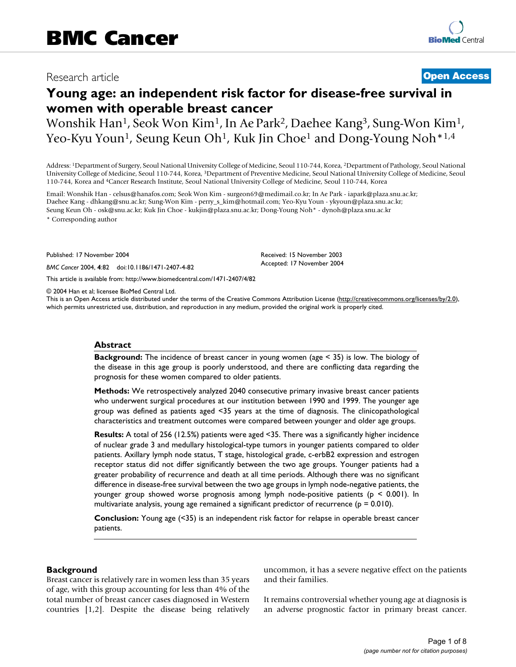# Research article **[Open Access](http://www.biomedcentral.com/info/about/charter/)**

# **Young age: an independent risk factor for disease-free survival in women with operable breast cancer**

Wonshik Han1, Seok Won Kim1, In Ae Park2, Daehee Kang3, Sung-Won Kim1, Yeo-Kyu Youn<sup>1</sup>, Seung Keun Oh<sup>1</sup>, Kuk Jin Choe<sup>1</sup> and Dong-Young Noh<sup>\*1,4</sup>

Address: 1Department of Surgery, Seoul National University College of Medicine, Seoul 110-744, Korea, 2Department of Pathology, Seoul National University College of Medicine, Seoul 110-744, Korea, 3Department of Preventive Medicine, Seoul National University College of Medicine, Seoul 110-744, Korea and 4Cancer Research Institute, Seoul National University College of Medicine, Seoul 110-744, Korea

Email: Wonshik Han - celsus@hanafos.com; Seok Won Kim - surgeon69@medimail.co.kr; In Ae Park - iapark@plaza.snu.ac.kr; Daehee Kang - dhkang@snu.ac.kr; Sung-Won Kim - perry\_s\_kim@hotmail.com; Yeo-Kyu Youn - ykyoun@plaza.snu.ac.kr; Seung Keun Oh - osk@snu.ac.kr; Kuk Jin Choe - kukjin@plaza.snu.ac.kr; Dong-Young Noh\* - dynoh@plaza.snu.ac.kr

\* Corresponding author

Published: 17 November 2004

*BMC Cancer* 2004, **4**:82 doi:10.1186/1471-2407-4-82

[This article is available from: http://www.biomedcentral.com/1471-2407/4/82](http://www.biomedcentral.com/1471-2407/4/82)

© 2004 Han et al; licensee BioMed Central Ltd.

This is an Open Access article distributed under the terms of the Creative Commons Attribution License [\(http://creativecommons.org/licenses/by/2.0\)](http://creativecommons.org/licenses/by/2.0), which permits unrestricted use, distribution, and reproduction in any medium, provided the original work is properly cited.

Received: 15 November 2003 Accepted: 17 November 2004

#### **Abstract**

**Background:** The incidence of breast cancer in young women (age < 35) is low. The biology of the disease in this age group is poorly understood, and there are conflicting data regarding the prognosis for these women compared to older patients.

**Methods:** We retrospectively analyzed 2040 consecutive primary invasive breast cancer patients who underwent surgical procedures at our institution between 1990 and 1999. The younger age group was defined as patients aged <35 years at the time of diagnosis. The clinicopathological characteristics and treatment outcomes were compared between younger and older age groups.

**Results:** A total of 256 (12.5%) patients were aged <35. There was a significantly higher incidence of nuclear grade 3 and medullary histological-type tumors in younger patients compared to older patients. Axillary lymph node status, T stage, histological grade, c-erbB2 expression and estrogen receptor status did not differ significantly between the two age groups. Younger patients had a greater probability of recurrence and death at all time periods. Although there was no significant difference in disease-free survival between the two age groups in lymph node-negative patients, the younger group showed worse prognosis among lymph node-positive patients (p < 0.001). In multivariate analysis, young age remained a significant predictor of recurrence ( $p = 0.010$ ).

**Conclusion:** Young age (<35) is an independent risk factor for relapse in operable breast cancer patients.

# **Background**

Breast cancer is relatively rare in women less than 35 years of age, with this group accounting for less than 4% of the total number of breast cancer cases diagnosed in Western countries [1,2]. Despite the disease being relatively uncommon, it has a severe negative effect on the patients and their families.

It remains controversial whether young age at diagnosis is an adverse prognostic factor in primary breast cancer.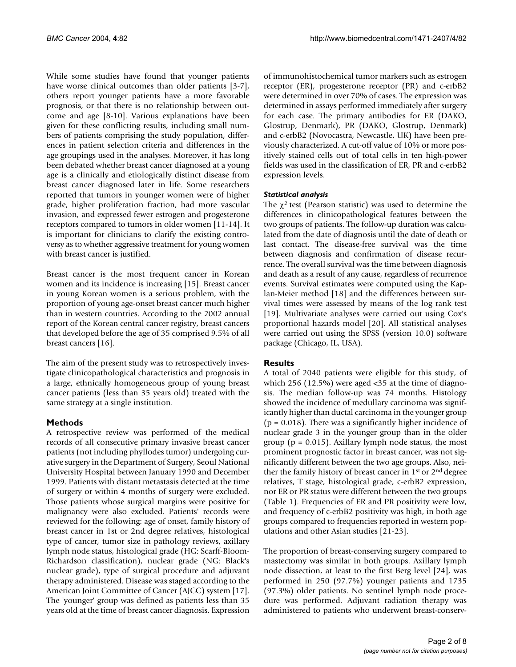While some studies have found that younger patients have worse clinical outcomes than older patients [3-7], others report younger patients have a more favorable prognosis, or that there is no relationship between outcome and age [8-10]. Various explanations have been given for these conflicting results, including small numbers of patients comprising the study population, differences in patient selection criteria and differences in the age groupings used in the analyses. Moreover, it has long been debated whether breast cancer diagnosed at a young age is a clinically and etiologically distinct disease from breast cancer diagnosed later in life. Some researchers reported that tumors in younger women were of higher grade, higher proliferation fraction, had more vascular invasion, and expressed fewer estrogen and progesterone receptors compared to tumors in older women [11-14]. It is important for clinicians to clarify the existing controversy as to whether aggressive treatment for young women with breast cancer is justified.

Breast cancer is the most frequent cancer in Korean women and its incidence is increasing [15]. Breast cancer in young Korean women is a serious problem, with the proportion of young age-onset breast cancer much higher than in western countries. According to the 2002 annual report of the Korean central cancer registry, breast cancers that developed before the age of 35 comprised 9.5% of all breast cancers [16].

The aim of the present study was to retrospectively investigate clinicopathological characteristics and prognosis in a large, ethnically homogeneous group of young breast cancer patients (less than 35 years old) treated with the same strategy at a single institution.

# **Methods**

A retrospective review was performed of the medical records of all consecutive primary invasive breast cancer patients (not including phyllodes tumor) undergoing curative surgery in the Department of Surgery, Seoul National University Hospital between January 1990 and December 1999. Patients with distant metastasis detected at the time of surgery or within 4 months of surgery were excluded. Those patients whose surgical margins were positive for malignancy were also excluded. Patients' records were reviewed for the following: age of onset, family history of breast cancer in 1st or 2nd degree relatives, histological type of cancer, tumor size in pathology reviews, axillary lymph node status, histological grade (HG: Scarff-Bloom-Richardson classification), nuclear grade (NG: Black's nuclear grade), type of surgical procedure and adjuvant therapy administered. Disease was staged according to the American Joint Committee of Cancer (AJCC) system [17]. The 'younger' group was defined as patients less than 35 years old at the time of breast cancer diagnosis. Expression of immunohistochemical tumor markers such as estrogen receptor (ER), progesterone receptor (PR) and c-erbB2 were determined in over 70% of cases. The expression was determined in assays performed immediately after surgery for each case. The primary antibodies for ER (DAKO, Glostrup, Denmark), PR (DAKO, Glostrup, Denmark) and c-erbB2 (Novocastra, Newcastle, UK) have been previously characterized. A cut-off value of 10% or more positively stained cells out of total cells in ten high-power fields was used in the classification of ER, PR and c-erbB2 expression levels.

# *Statistical analysis*

The  $\gamma^2$  test (Pearson statistic) was used to determine the differences in clinicopathological features between the two groups of patients. The follow-up duration was calculated from the date of diagnosis until the date of death or last contact. The disease-free survival was the time between diagnosis and confirmation of disease recurrence. The overall survival was the time between diagnosis and death as a result of any cause, regardless of recurrence events. Survival estimates were computed using the Kaplan-Meier method [18] and the differences between survival times were assessed by means of the log rank test [19]. Multivariate analyses were carried out using Cox's proportional hazards model [20]. All statistical analyses were carried out using the SPSS (version 10.0) software package (Chicago, IL, USA).

# **Results**

A total of 2040 patients were eligible for this study, of which 256 (12.5%) were aged <35 at the time of diagnosis. The median follow-up was 74 months. Histology showed the incidence of medullary carcinoma was significantly higher than ductal carcinoma in the younger group  $(p = 0.018)$ . There was a significantly higher incidence of nuclear grade 3 in the younger group than in the older group ( $p = 0.015$ ). Axillary lymph node status, the most prominent prognostic factor in breast cancer, was not significantly different between the two age groups. Also, neither the family history of breast cancer in 1st or 2nd degree relatives, T stage, histological grade, c-erbB2 expression, nor ER or PR status were different between the two groups (Table [1](#page-2-0)). Frequencies of ER and PR positivity were low, and frequency of c-erbB2 positivity was high, in both age groups compared to frequencies reported in western populations and other Asian studies [21-23].

The proportion of breast-conserving surgery compared to mastectomy was similar in both groups. Axillary lymph node dissection, at least to the first Berg level [24], was performed in 250 (97.7%) younger patients and 1735 (97.3%) older patients. No sentinel lymph node procedure was performed. Adjuvant radiation therapy was administered to patients who underwent breast-conserv-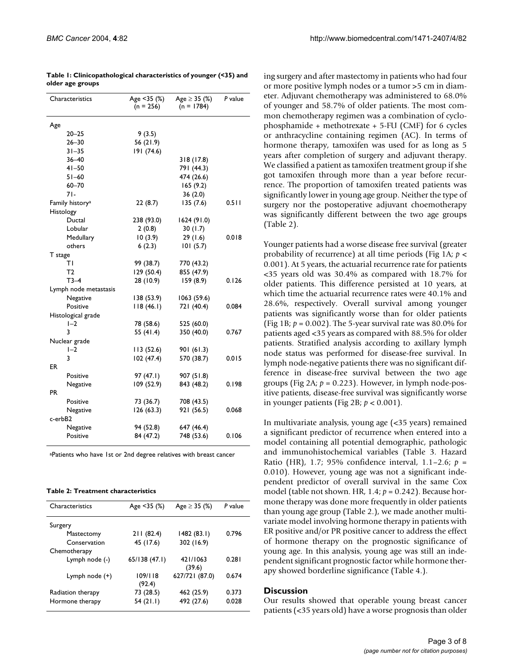| Characteristics             | Age <35 (%)<br>$(n = 256)$ | Age $\geq$ 35 (%)<br>$(n = 1784)$ | P value |
|-----------------------------|----------------------------|-----------------------------------|---------|
| Age                         |                            |                                   |         |
| $20 - 25$                   | 9(3.5)                     |                                   |         |
| $26 - 30$                   | 56 (21.9)                  |                                   |         |
| $31 - 35$                   | 191 (74.6)                 |                                   |         |
| $36 - 40$                   |                            | 318 (17.8)                        |         |
| $41 - 50$                   |                            | 791 (44.3)                        |         |
| $51 - 60$                   |                            | 474 (26.6)                        |         |
| $60 - 70$                   |                            | 165(9.2)                          |         |
| 71-                         |                            | 36(2.0)                           |         |
| Family history <sup>a</sup> | 22(8.7)                    | 135(7.6)                          | 0.511   |
| Histology                   |                            |                                   |         |
| Ductal                      | 238 (93.0)                 | 1624(91.0)                        |         |
| Lobular                     | 2(0.8)                     | 30(1.7)                           |         |
| Medullary                   | 10(3.9)                    | 29 (1.6)                          | 0.018   |
| others                      | 6(2.3)                     | 101(5.7)                          |         |
| T stage                     |                            |                                   |         |
| ΤI                          | 99 (38.7)                  | 770 (43.2)                        |         |
| T2                          | 129 (50.4)                 | 855 (47.9)                        |         |
| $T3-4$                      | 28 (10.9)                  | 159(8.9)                          | 0.126   |
| Lymph node metastasis       |                            |                                   |         |
| Negative                    | 138 (53.9)                 | 1063 (59.6)                       |         |
| Positive                    | 118(46.1)                  | 721 (40.4)                        | 0.084   |
| Histological grade          |                            |                                   |         |
| $I-2$                       | 78 (58.6)                  | 525 (60.0)                        |         |
| 3                           | 55 (41.4)                  | 350 (40.0)                        | 0.767   |
| Nuclear grade               |                            |                                   |         |
| $I-2$                       | 113(52.6)                  | 901 (61.3)                        |         |
| 3                           | 102(47.4)                  | 570 (38.7)                        | 0.015   |
| ER                          |                            |                                   |         |
| Positive                    | 97 (47.I)                  | 907(51.8)                         |         |
| Negative                    | 109 (52.9)                 | 843 (48.2)                        | 0.198   |
| PR                          |                            |                                   |         |
| Positive                    | 73 (36.7)                  | 708 (43.5)                        |         |
| Negative                    | 126 (63.3)                 | 921 (56.5)                        | 0.068   |
| c-erbB2                     |                            |                                   |         |
| Negative                    | 94 (52.8)                  | 647 (46.4)                        |         |
| Positive                    | 84 (47.2)                  | 748 (53.6)                        | 0.106   |

<span id="page-2-0"></span>**Table 1: Clinicopathological characteristics of younger (<35) and older age groups**

aPatients who have 1st or 2nd degree relatives with breast cancer

<span id="page-2-1"></span>

| Table 2: Treatment characteristics |  |
|------------------------------------|--|
|------------------------------------|--|

| Characteristics   | Age $<$ 35 (%)    | Age $\geq$ 35 (%)  | P value |
|-------------------|-------------------|--------------------|---------|
| Surgery           |                   |                    |         |
| Mastectomy        | 211(82.4)         | 1482 (83.1)        | 0.796   |
| Conservation      | 45 (17.6)         | 302 (16.9)         |         |
| Chemotherapy      |                   |                    |         |
| Lymph node (-)    | 65/138(47.1)      | 421/1063<br>(39.6) | 0.281   |
| Lymph node (+)    | 109/118<br>(92.4) | 627/721 (87.0)     | 0.674   |
| Radiation therapy | 73 (28.5)         | 462 (25.9)         | 0.373   |
| Hormone therapy   | 54(21.1)          | 492 (27.6)         | 0.028   |

ing surgery and after mastectomy in patients who had four or more positive lymph nodes or a tumor >5 cm in diameter. Adjuvant chemotherapy was administered to 68.0% of younger and 58.7% of older patients. The most common chemotherapy regimen was a combination of cyclophosphamide + methotrexate + 5-FU (CMF) for 6 cycles or anthracycline containing regimen (AC). In terms of hormone therapy, tamoxifen was used for as long as 5 years after completion of surgery and adjuvant therapy. We classified a patient as tamoxifen treatment group if she got tamoxifen through more than a year before recurrence. The proportion of tamoxifen treated patients was significantly lower in young age group. Neither the type of surgery nor the postoperative adjuvant choemotherapy was significantly different between the two age groups (Table [2\)](#page-2-1).

Younger patients had a worse disease free survival (greater probability of recurrence) at all time periods (Fig 1A; *p* < 0.001). At 5 years, the actuarial recurrence rate for patients <35 years old was 30.4% as compared with 18.7% for older patients. This difference persisted at 10 years, at which time the actuarial recurrence rates were 40.1% and 28.6%, respectively. Overall survival among younger patients was significantly worse than for older patients (Fig 1B;  $p = 0.002$ ). The 5-year survival rate was 80.0% for patients aged <35 years as compared with 88.5% for older patients. Stratified analysis according to axillary lymph node status was performed for disease-free survival. In lymph node-negative patients there was no significant difference in disease-free survival between the two age groups (Fig 2A;  $p = 0.223$ ). However, in lymph node-positive patients, disease-free survival was significantly worse in younger patients (Fig 2B; *p* < 0.001).

In multivariate analysis, young age (<35 years) remained a significant predictor of recurrence when entered into a model containing all potential demographic, pathologic and immunohistochemical variables (Table 3. Hazard Ratio (HR), 1.7; 95% confidence interval, 1.1–2.6; *p* = 0.010). However, young age was not a significant independent predictor of overall survival in the same Cox model (table not shown. HR, 1.4; *p* = 0.242). Because hormone therapy was done more frequently in older patients than young age group (Table [2](#page-2-1).), we made another multivariate model involving hormone therapy in patients with ER positive and/or PR positive cancer to address the effect of hormone therapy on the prognostic significance of young age. In this analysis, young age was still an independent significant prognostic factor while hormone therapy showed borderline significance (Table [4.](#page-4-0)).

#### **Discussion**

Our results showed that operable young breast cancer patients (<35 years old) have a worse prognosis than older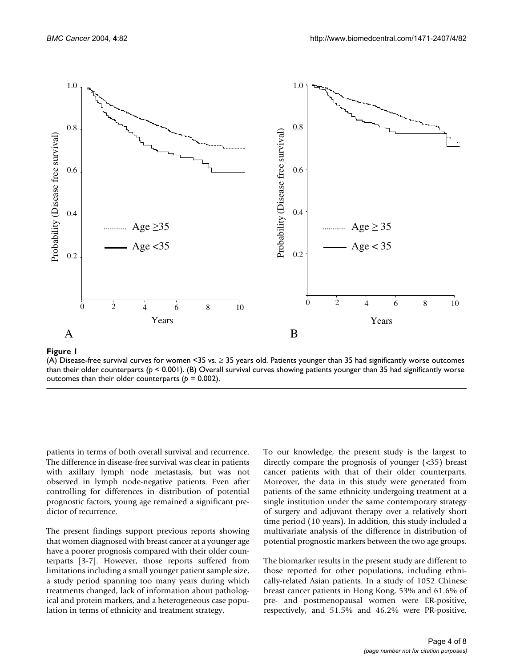

# Figure 1

(A) Disease-free survival curves for women <35 vs.  $\geq$  35 years old. Patients younger than 35 had significantly worse outcomes than their older counterparts (*p* < 0.001). (B) Overall survival curves showing patients younger than 35 had significantly worse outcomes than their older counterparts (*p* = 0.002).

patients in terms of both overall survival and recurrence. The difference in disease-free survival was clear in patients with axillary lymph node metastasis, but was not observed in lymph node-negative patients. Even after controlling for differences in distribution of potential prognostic factors, young age remained a significant predictor of recurrence.

The present findings support previous reports showing that women diagnosed with breast cancer at a younger age have a poorer prognosis compared with their older counterparts [3-7]. However, those reports suffered from limitations including a small younger patient sample size, a study period spanning too many years during which treatments changed, lack of information about pathological and protein markers, and a heterogeneous case population in terms of ethnicity and treatment strategy.

To our knowledge, the present study is the largest to directly compare the prognosis of younger (<35) breast cancer patients with that of their older counterparts. Moreover, the data in this study were generated from patients of the same ethnicity undergoing treatment at a single institution under the same contemporary strategy of surgery and adjuvant therapy over a relatively short time period (10 years). In addition, this study included a multivariate analysis of the difference in distribution of potential prognostic markers between the two age groups.

The biomarker results in the present study are different to those reported for other populations, including ethnically-related Asian patients. In a study of 1052 Chinese breast cancer patients in Hong Kong, 53% and 61.6% of pre- and postmenopausal women were ER-positive, respectively, and 51.5% and 46.2% were PR-positive,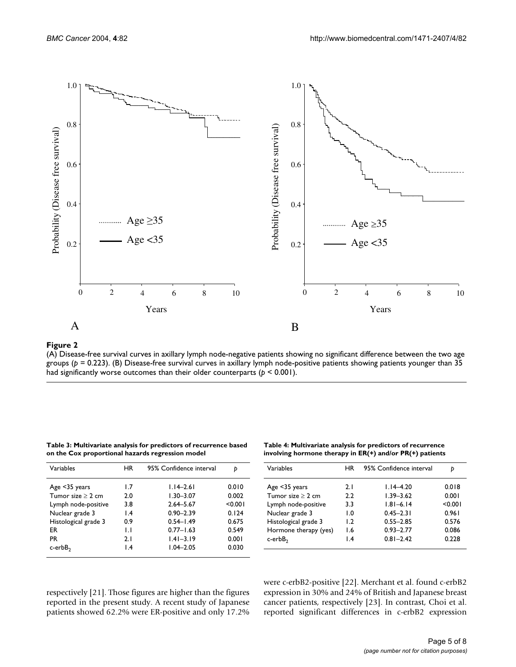

## (A) Disease-free survival curves in axillary lymph node-negativ groups ( **Figure 2***p* = 0.223) e patients showing no significant difference between the two age

(A) Disease-free survival curves in axillary lymph node-negative patients showing no significant difference between the two age groups (*p* = 0.223). (B) Disease-free survival curves in axillary lymph node-positive patients showing patients younger than 35 had significantly worse outcomes than their older counterparts (*p* < 0.001).

| Variables              | ΗR              | 95% Confidence interval |         |
|------------------------|-----------------|-------------------------|---------|
| Age <35 years          | 1.7             | $1.14 - 2.61$           | 0.010   |
| Tumor size $\geq 2$ cm | 2.0             | $1.30 - 3.07$           | 0.002   |
| Lymph node-positive    | 3.8             | $2.64 - 5.67$           | < 0.001 |
| Nuclear grade 3        | $\mathsf{I}$ .4 | $0.90 - 2.39$           | 0.124   |
| Histological grade 3   | 0.9             | $0.54 - 1.49$           | 0.675   |
| FR                     | $\mathbf{L}$    | $0.77 - 1.63$           | 0.549   |
| <b>PR</b>              | 2.1             | $1.41 - 3.19$           | 0.001   |
| $c$ -erb $B2$          | $\mathsf{I}$ .4 | $1.04 - 2.05$           | 0.030   |

**Table 3: Multivariate analysis for predictors of recurrence based on the Cox proportional hazards regression model**

<span id="page-4-0"></span>

| Table 4: Multivariate analysis for predictors of recurrence  |  |
|--------------------------------------------------------------|--|
| involving hormone therapy in $ER(+)$ and/or $PR(+)$ patients |  |

| Variables             | ΗR              | 95% Confidence interval | D       |
|-----------------------|-----------------|-------------------------|---------|
| Age <35 years         | 2.1             | $1.14 - 4.20$           | 0.018   |
| Tumor size $>$ 2 cm   | 2.2             | $1.39 - 3.62$           | 0.001   |
| Lymph node-positive   | 3.3             | $1.81 - 6.14$           | < 0.001 |
| Nuclear grade 3       | 1.0             | $0.45 - 2.31$           | 0.961   |
| Histological grade 3  | $\mathsf{L}2$   | $0.55 - 2.85$           | 0.576   |
| Hormone therapy (yes) | I.6             | $0.93 - 2.77$           | 0.086   |
| c-erbB <sub>2</sub>   | $\mathsf{I}$ .4 | $0.81 - 2.42$           | 0.228   |

respectively [21]. Those figures are higher than the figures reported in the present study. A recent study of Japanese patients showed 62.2% were ER-positive and only 17.2%

were c-erbB2-positive [22]. Merchant et al. found c-erbB2 expression in 30% and 24% of British and Japanese breast cancer patients, respectively [23]. In contrast, Choi et al. reported significant differences in c-erbB2 expression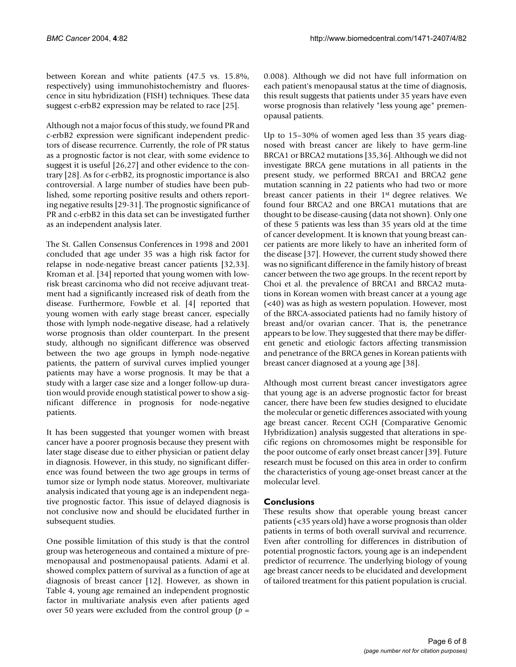between Korean and white patients (47.5 vs. 15.8%, respectively) using immunohistochemistry and fluorescence in situ hybridization (FISH) techniques. These data suggest c-erbB2 expression may be related to race [25].

Although not a major focus of this study, we found PR and c-erbB2 expression were significant independent predictors of disease recurrence. Currently, the role of PR status as a prognostic factor is not clear, with some evidence to suggest it is useful [26,27] and other evidence to the contrary [28]. As for c-erbB2, its prognostic importance is also controversial. A large number of studies have been published, some reporting positive results and others reporting negative results [29-31]. The prognostic significance of PR and c-erbB2 in this data set can be investigated further as an independent analysis later.

The St. Gallen Consensus Conferences in 1998 and 2001 concluded that age under 35 was a high risk factor for relapse in node-negative breast cancer patients [32,33]. Kroman et al. [34] reported that young women with lowrisk breast carcinoma who did not receive adjuvant treatment had a significantly increased risk of death from the disease. Furthermore, Fowble et al. [4] reported that young women with early stage breast cancer, especially those with lymph node-negative disease, had a relatively worse prognosis than older counterpart. In the present study, although no significant difference was observed between the two age groups in lymph node-negative patients, the pattern of survival curves implied younger patients may have a worse prognosis. It may be that a study with a larger case size and a longer follow-up duration would provide enough statistical power to show a significant difference in prognosis for node-negative patients.

It has been suggested that younger women with breast cancer have a poorer prognosis because they present with later stage disease due to either physician or patient delay in diagnosis. However, in this study, no significant difference was found between the two age groups in terms of tumor size or lymph node status. Moreover, multivariate analysis indicated that young age is an independent negative prognostic factor. This issue of delayed diagnosis is not conclusive now and should be elucidated further in subsequent studies.

One possible limitation of this study is that the control group was heterogeneous and contained a mixture of premenopausal and postmenopausal patients. Adami et al. showed complex pattern of survival as a function of age at diagnosis of breast cancer [12]. However, as shown in Table [4](#page-4-0), young age remained an independent prognostic factor in multivariate analysis even after patients aged over 50 years were excluded from the control group (*p* =

0.008). Although we did not have full information on each patient's menopausal status at the time of diagnosis, this result suggests that patients under 35 years have even worse prognosis than relatively "less young age" premenopausal patients.

Up to 15–30% of women aged less than 35 years diagnosed with breast cancer are likely to have germ-line BRCA1 or BRCA2 mutations [35,36]. Although we did not investigate BRCA gene mutations in all patients in the present study, we performed BRCA1 and BRCA2 gene mutation scanning in 22 patients who had two or more breast cancer patients in their 1st degree relatives. We found four BRCA2 and one BRCA1 mutations that are thought to be disease-causing (data not shown). Only one of these 5 patients was less than 35 years old at the time of cancer development. It is known that young breast cancer patients are more likely to have an inherited form of the disease [37]. However, the current study showed there was no significant difference in the family history of breast cancer between the two age groups. In the recent report by Choi et al. the prevalence of BRCA1 and BRCA2 mutations in Korean women with breast cancer at a young age (<40) was as high as western population. However, most of the BRCA-associated patients had no family history of breast and/or ovarian cancer. That is, the penetrance appears to be low. They suggested that there may be different genetic and etiologic factors affecting transmission and penetrance of the BRCA genes in Korean patients with breast cancer diagnosed at a young age [38].

Although most current breast cancer investigators agree that young age is an adverse prognostic factor for breast cancer, there have been few studies designed to elucidate the molecular or genetic differences associated with young age breast cancer. Recent CGH (Comparative Genomic Hybridization) analysis suggested that alterations in specific regions on chromosomes might be responsible for the poor outcome of early onset breast cancer [39]. Future research must be focused on this area in order to confirm the characteristics of young age-onset breast cancer at the molecular level.

# **Conclusions**

These results show that operable young breast cancer patients (<35 years old) have a worse prognosis than older patients in terms of both overall survival and recurrence. Even after controlling for differences in distribution of potential prognostic factors, young age is an independent predictor of recurrence. The underlying biology of young age breast cancer needs to be elucidated and development of tailored treatment for this patient population is crucial.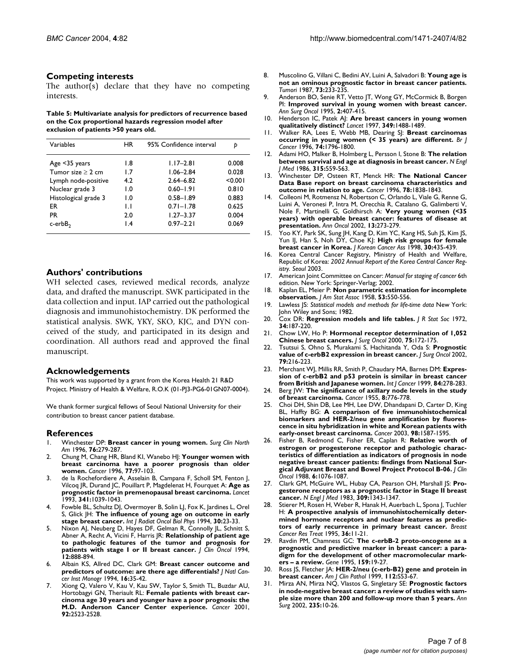#### **Competing interests**

The author(s) declare that they have no competing interests.

#### **Table 5: Multivariate analysis for predictors of recurrence based on the Cox proportional hazards regression model after exclusion of patients >50 years old.**

| Variables            | <b>HR</b>       | 95% Confidence interval |         |
|----------------------|-----------------|-------------------------|---------|
| Age <35 years        | 1.8             | $1.17 - 2.81$           | 0.008   |
| Tumor size $>$ 2 cm  | 1.7             | $1.06 - 2.84$           | 0.028   |
| Lymph node-positive  | 4.2             | $2.64 - 6.82$           | < 0.001 |
| Nuclear grade 3      | 1.0             | $0.60 - 1.91$           | 0.810   |
| Histological grade 3 | 1.0             | $0.58 - 1.89$           | 0.883   |
| ER                   | IJ              | $0.71 - 1.78$           | 0.625   |
| <b>PR</b>            | 2.0             | $1.27 - 3.37$           | 0.004   |
| $c$ -erb $B2$        | $\mathsf{I}$ .4 | $0.97 - 2.21$           | 0.069   |

## **Authors' contributions**

WH selected cases, reviewed medical records, analyze data, and drafted the manuscript. SWK participated in the data collection and input. IAP carried out the pathological diagnosis and immunohistochemistry. DK performed the statistical analysis. SWK, YKY, SKO, KJC, and DYN conceived of the study, and participated in its design and coordination. All authors read and approved the final manuscript.

#### **Acknowledgements**

This work was supported by a grant from the Korea Health 21 R&D Project. Ministry of Health & Welfare, R.O.K (01-PJ3-PG6-01GN07-0004).

We thank former surgical fellows of Seoul National University for their contribution to breast cancer patient database.

#### **References**

- 1. Winchester DP: **[Breast cancer in young women.](http://www.ncbi.nlm.nih.gov/entrez/query.fcgi?cmd=Retrieve&db=PubMed&dopt=Abstract&list_uids=8610264)** *Surg Clin North Am* 1996, **76:**279-287.
- 2. Chung M, Chang HR, Bland KI, Wanebo HJ: **[Younger women with](http://www.ncbi.nlm.nih.gov/entrez/query.fcgi?cmd=Retrieve&db=PubMed&dopt=Abstract&list_uids=8630946) [breast carcinoma have a poorer prognosis than older](http://www.ncbi.nlm.nih.gov/entrez/query.fcgi?cmd=Retrieve&db=PubMed&dopt=Abstract&list_uids=8630946) [women.](http://www.ncbi.nlm.nih.gov/entrez/query.fcgi?cmd=Retrieve&db=PubMed&dopt=Abstract&list_uids=8630946)** *Cancer* 1996, **77:**97-103.
- 3. de la Rochefordiere A, Asselain B, Campana F, Scholl SM, Fenton J, Vilcoq JR, Durand JC, Pouillart P, Magdelenat H, Fourquet A: **[Age as](http://www.ncbi.nlm.nih.gov/entrez/query.fcgi?cmd=Retrieve&db=PubMed&dopt=Abstract&list_uids=8096955) [prognostic factor in premenopausal breast carcinoma.](http://www.ncbi.nlm.nih.gov/entrez/query.fcgi?cmd=Retrieve&db=PubMed&dopt=Abstract&list_uids=8096955)** *Lancet* 1993, **341:**1039-1043.
- 4. Fowble BL, Schultz DJ, Overmoyer B, Solin LJ, Fox K, Jardines L, Orel S, Glick JH: **[The influence of young age on outcome in early](http://www.ncbi.nlm.nih.gov/entrez/query.fcgi?cmd=Retrieve&db=PubMed&dopt=Abstract&list_uids=8083119) [stage breast cancer.](http://www.ncbi.nlm.nih.gov/entrez/query.fcgi?cmd=Retrieve&db=PubMed&dopt=Abstract&list_uids=8083119)** *Int J Radiat Oncol Biol Phys* 1994, **30:**23-33.
- Nixon AJ, Neuberg D, Hayes DF, Gelman R, Connolly JL, Schnitt S, Abner A, Recht A, Vicini F, Harris JR: **[Relationship of patient age](http://www.ncbi.nlm.nih.gov/entrez/query.fcgi?cmd=Retrieve&db=PubMed&dopt=Abstract&list_uids=8164038) [to pathologic features of the tumor and prognosis for](http://www.ncbi.nlm.nih.gov/entrez/query.fcgi?cmd=Retrieve&db=PubMed&dopt=Abstract&list_uids=8164038) [patients with stage I or II breast cancer.](http://www.ncbi.nlm.nih.gov/entrez/query.fcgi?cmd=Retrieve&db=PubMed&dopt=Abstract&list_uids=8164038)** *J Clin Oncol* 1994, **12:**888-894.
- 6. Albain KS, Allred DC, Clark GM: **[Breast cancer outcome and](http://www.ncbi.nlm.nih.gov/entrez/query.fcgi?cmd=Retrieve&db=PubMed&dopt=Abstract&list_uids=7999467) [predictors of outcome: are there age differentials?](http://www.ncbi.nlm.nih.gov/entrez/query.fcgi?cmd=Retrieve&db=PubMed&dopt=Abstract&list_uids=7999467)** *J Natl Cancer Inst Monogr* 1994, **16:**35-42.
- 7. Xiong Q, Valero V, Kau V, Kau SW, Taylor S, Smith TL, Buzdar AU, Hortobagyi GN, Theriault RL: **[Female patients with breast car](http://www.ncbi.nlm.nih.gov/entrez/query.fcgi?cmd=Retrieve&db=PubMed&dopt=Abstract&list_uids=11745185)[cinoma age 30 years and younger have a poor prognosis: the](http://www.ncbi.nlm.nih.gov/entrez/query.fcgi?cmd=Retrieve&db=PubMed&dopt=Abstract&list_uids=11745185) [M.D. Anderson Cancer Center experience.](http://www.ncbi.nlm.nih.gov/entrez/query.fcgi?cmd=Retrieve&db=PubMed&dopt=Abstract&list_uids=11745185)** *Cancer* 2001, **92:**2523-2528.
- 8. Muscolino G, Villani C, Bedini AV, Luini A, Salvadori B: **[Young age is](http://www.ncbi.nlm.nih.gov/entrez/query.fcgi?cmd=Retrieve&db=PubMed&dopt=Abstract&list_uids=3603718) [not an ominous prognostic factor in breast cancer patients.](http://www.ncbi.nlm.nih.gov/entrez/query.fcgi?cmd=Retrieve&db=PubMed&dopt=Abstract&list_uids=3603718)** *Tumori* 1987, **73:**233-235.
- 9. Anderson BO, Senie RT, Vetto JT, Wong GY, McCormick B, Borgen PI: **[Improved survival in young women with breast cancer.](http://www.ncbi.nlm.nih.gov/entrez/query.fcgi?cmd=Retrieve&db=PubMed&dopt=Abstract&list_uids=7496835)** *Ann Surg Oncol* 1995, **2:**407-415.
- 10. Henderson IC, Patek AJ: **[Are breast cancers in young women](http://www.ncbi.nlm.nih.gov/entrez/query.fcgi?cmd=Retrieve&db=PubMed&dopt=Abstract&list_uids=9167452) [qualitatively distinct?](http://www.ncbi.nlm.nih.gov/entrez/query.fcgi?cmd=Retrieve&db=PubMed&dopt=Abstract&list_uids=9167452)** *Lancet* 1997, **349:**1488-1489.
- 11. Walker RA, Lees E, Webb MB, Dearing SJ: **[Breast carcinomas](http://www.ncbi.nlm.nih.gov/entrez/query.fcgi?cmd=Retrieve&db=PubMed&dopt=Abstract&list_uids=8956795) [occurring in young women \(< 35 years\) are different.](http://www.ncbi.nlm.nih.gov/entrez/query.fcgi?cmd=Retrieve&db=PubMed&dopt=Abstract&list_uids=8956795)** *Br J Cancer* 1996, **74:**1796-1800.
- 12. Adami HO, Malker B, Holmberg L, Persson I, Stone B: **[The relation](http://www.ncbi.nlm.nih.gov/entrez/query.fcgi?cmd=Retrieve&db=PubMed&dopt=Abstract&list_uids=3736639) [between survival and age at diagnosis in breast cancer.](http://www.ncbi.nlm.nih.gov/entrez/query.fcgi?cmd=Retrieve&db=PubMed&dopt=Abstract&list_uids=3736639)** *N Engl J Med* 1986, **315:**559-563.
- 13. Winchester DP, Osteen RT, Menck HR: **[The National Cancer](http://www.ncbi.nlm.nih.gov/entrez/query.fcgi?cmd=Retrieve&db=PubMed&dopt=Abstract&list_uids=8859200) [Data Base report on breast carcinoma characteristics and](http://www.ncbi.nlm.nih.gov/entrez/query.fcgi?cmd=Retrieve&db=PubMed&dopt=Abstract&list_uids=8859200) [outcome in relation to age.](http://www.ncbi.nlm.nih.gov/entrez/query.fcgi?cmd=Retrieve&db=PubMed&dopt=Abstract&list_uids=8859200)** *Cancer* 1996, **78:**1838-1843.
- 14. Colleoni M, Rotmensz N, Robertson C, Orlando L, Viale G, Renne G, Luini A, Veronesi P, Intra M, Orecchia R, Catalano G, Galimberti V, Nole F, Martinelli G, Goldhirsch A: **[Very young women \(<35](http://www.ncbi.nlm.nih.gov/entrez/query.fcgi?cmd=Retrieve&db=PubMed&dopt=Abstract&list_uids=11886005) [years\) with operable breast cancer: features of disease at](http://www.ncbi.nlm.nih.gov/entrez/query.fcgi?cmd=Retrieve&db=PubMed&dopt=Abstract&list_uids=11886005) [presentation.](http://www.ncbi.nlm.nih.gov/entrez/query.fcgi?cmd=Retrieve&db=PubMed&dopt=Abstract&list_uids=11886005)** *Ann Oncol* 2002, **13:**273-279.
- 15. Yoo KY, Park SK, Sung JH, Kang D, Kim YC, Kang HS, Suh JS, Kim JS, Yun IJ, Han S, Noh DY, Choe KJ: **High risk groups for female breast cancer in Korea.** *J Korean Cancer Ass* 1998, **30:**435-439.
- 16. Korea Central Cancer Registry, Ministry of Health and Welfare, Republic of Korea: *2002 Annual Report of the Korea Central Cancer Registry. Seoul* 2003.
- 17. American Joint Committee on Cancer: *Manual for staging of cancer* 6th edition. New York: Springer-Verlag; 2002.
- 18. Kaplan EL, Meier P: **Non parametric estimation for incomplete observation.** *J Am Stat Assoc* 1958, **53:**550-556.
- 19. Lawless JS: *Statistical models and methods for life-time data* New York: John Wiley and Sons; 1982.
- 20. Cox DR: **Regression models and life tables.** *J R Stat Soc* 1972, **34:**187-220.
- 21. Chow LW, Ho P: **[Hormonal receptor determination of 1,052](http://www.ncbi.nlm.nih.gov/entrez/query.fcgi?cmd=Retrieve&db=PubMed&dopt=Abstract&list_uids=11088048) [Chinese breast cancers.](http://www.ncbi.nlm.nih.gov/entrez/query.fcgi?cmd=Retrieve&db=PubMed&dopt=Abstract&list_uids=11088048)** *J Surg Oncol* 2000, **75:**172-175.
- 22. Tsutsui S, Ohno S, Murakami S, Hachitanda Y, Oda S: **[Prognostic](http://www.ncbi.nlm.nih.gov/entrez/query.fcgi?cmd=Retrieve&db=PubMed&dopt=Abstract&list_uids=11920778) [value of c-erbB2 expression in breast cancer.](http://www.ncbi.nlm.nih.gov/entrez/query.fcgi?cmd=Retrieve&db=PubMed&dopt=Abstract&list_uids=11920778)** *J Surg Oncol* 2002, **79:**216-223.
- 23. Merchant WJ, Millis RR, Smith P, Chaudary MA, Barnes DM: **[Expres](http://www.ncbi.nlm.nih.gov/entrez/query.fcgi?cmd=Retrieve&db=PubMed&dopt=Abstract&list_uids=10371347)[sion of c-erbB2 and p53 protein is similar in breast cancer](http://www.ncbi.nlm.nih.gov/entrez/query.fcgi?cmd=Retrieve&db=PubMed&dopt=Abstract&list_uids=10371347) [from British and Japanese women.](http://www.ncbi.nlm.nih.gov/entrez/query.fcgi?cmd=Retrieve&db=PubMed&dopt=Abstract&list_uids=10371347)** *Int J Cancer* 1999, **84:**278-283.
- 24. Berg JW: **[The significance of axillary node levels in the study](http://www.ncbi.nlm.nih.gov/entrez/query.fcgi?cmd=Retrieve&db=PubMed&dopt=Abstract&list_uids=13240660) [of breast carcinoma.](http://www.ncbi.nlm.nih.gov/entrez/query.fcgi?cmd=Retrieve&db=PubMed&dopt=Abstract&list_uids=13240660)** *Cancer* 1955, **8:**776-778.
- 25. Choi DH, Shin DB, Lee MH, Lee DW, Dhandapani D, Carter D, King BL, Haffty BG: **[A comparison of five immunohistochemical](http://www.ncbi.nlm.nih.gov/entrez/query.fcgi?cmd=Retrieve&db=PubMed&dopt=Abstract&list_uids=14534873) [biomarkers and HER-2/neu gene amplification by fluores](http://www.ncbi.nlm.nih.gov/entrez/query.fcgi?cmd=Retrieve&db=PubMed&dopt=Abstract&list_uids=14534873)cence in situ hybridization in white and Korean patients with [early-onset breast carcinoma.](http://www.ncbi.nlm.nih.gov/entrez/query.fcgi?cmd=Retrieve&db=PubMed&dopt=Abstract&list_uids=14534873)** *Cancer* 2003, **98:**1587-1595.
- 26. Fisher B, Redmond C, Fisher ER, Caplan R: **[Relative worth of](http://www.ncbi.nlm.nih.gov/entrez/query.fcgi?cmd=Retrieve&db=PubMed&dopt=Abstract&list_uids=2856862) [estrogen or progesterone receptor and pathologic charac](http://www.ncbi.nlm.nih.gov/entrez/query.fcgi?cmd=Retrieve&db=PubMed&dopt=Abstract&list_uids=2856862)teristics of differentiation as indicators of prognosis in node negative breast cancer patients: findings from National Sur[gical Adjuvant Breast and Bowel Project Protocol B-06.](http://www.ncbi.nlm.nih.gov/entrez/query.fcgi?cmd=Retrieve&db=PubMed&dopt=Abstract&list_uids=2856862)** *J Clin Oncol* 1988, **6:**1076-1087.
- 27. Clark GM, McGuire WL, Hubay CA, Pearson OH, Marshall JS: **[Pro](http://www.ncbi.nlm.nih.gov/entrez/query.fcgi?cmd=Retrieve&db=PubMed&dopt=Abstract&list_uids=6633596)[gesterone receptors as a prognostic factor in Stage II breast](http://www.ncbi.nlm.nih.gov/entrez/query.fcgi?cmd=Retrieve&db=PubMed&dopt=Abstract&list_uids=6633596) [cancer.](http://www.ncbi.nlm.nih.gov/entrez/query.fcgi?cmd=Retrieve&db=PubMed&dopt=Abstract&list_uids=6633596)** *N Engl J Med* 1983, **309:**1343-1347.
- 28. Stierer M, Rosen H, Weber R, Hanak H, Auerbach L, Spona J, Tuchler H: **[A prospective analysis of immunohistochemically deter](http://www.ncbi.nlm.nih.gov/entrez/query.fcgi?cmd=Retrieve&db=PubMed&dopt=Abstract&list_uids=7579502)[mined hormone receptors and nuclear features as predic](http://www.ncbi.nlm.nih.gov/entrez/query.fcgi?cmd=Retrieve&db=PubMed&dopt=Abstract&list_uids=7579502)[tors of early recurrence in primary breast cancer.](http://www.ncbi.nlm.nih.gov/entrez/query.fcgi?cmd=Retrieve&db=PubMed&dopt=Abstract&list_uids=7579502)** *Breast Cancer Res Treat* 1995, **36:**11-21.
- 29. Ravdin PM, Chamness GC: **[The c-erbB-2 proto-oncogene as a](http://www.ncbi.nlm.nih.gov/entrez/query.fcgi?cmd=Retrieve&db=PubMed&dopt=Abstract&list_uids=7607568) [prognostic and predictive marker in breast cancer: a para](http://www.ncbi.nlm.nih.gov/entrez/query.fcgi?cmd=Retrieve&db=PubMed&dopt=Abstract&list_uids=7607568)digm for the development of other macromolecular mark[ers – a review.](http://www.ncbi.nlm.nih.gov/entrez/query.fcgi?cmd=Retrieve&db=PubMed&dopt=Abstract&list_uids=7607568)** *Gene* 1995, **159:**19-27.
- 30. Ross JS, Fletcher JA: **[HER-2/neu \(c-erb-B2\) gene and protein in](http://www.ncbi.nlm.nih.gov/entrez/query.fcgi?cmd=Retrieve&db=PubMed&dopt=Abstract&list_uids=10396301) [breast cancer.](http://www.ncbi.nlm.nih.gov/entrez/query.fcgi?cmd=Retrieve&db=PubMed&dopt=Abstract&list_uids=10396301)** *Am J Clin Pathol* 1999, **112:**S53-67.
- 31. Mirza AN, Mirza NQ, Vlastos G, Singletary SE: **[Prognostic factors](http://www.ncbi.nlm.nih.gov/entrez/query.fcgi?cmd=Retrieve&db=PubMed&dopt=Abstract&list_uids=11753038) [in node-negative breast cancer: a review of studies with sam](http://www.ncbi.nlm.nih.gov/entrez/query.fcgi?cmd=Retrieve&db=PubMed&dopt=Abstract&list_uids=11753038)[ple size more than 200 and follow-up more than 5 years.](http://www.ncbi.nlm.nih.gov/entrez/query.fcgi?cmd=Retrieve&db=PubMed&dopt=Abstract&list_uids=11753038)** *Ann Surg* 2002, **235:**10-26.